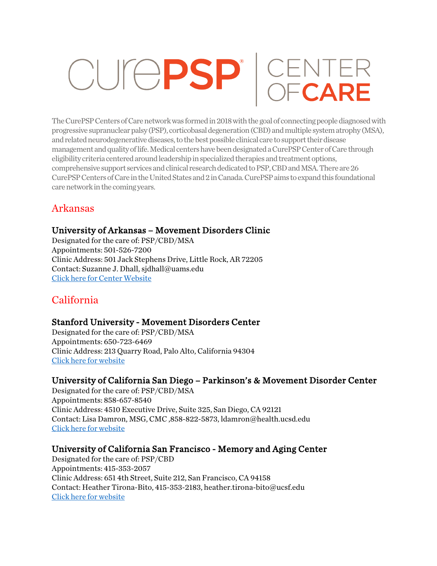# CUICPSP<sup>'</sup> CENTER

The CurePSPCenters of Care network was formed in 2018 with the goal of connecting people diagnosed with progressive supranuclear palsy (PSP), corticobasal degeneration (CBD) and multiple system atrophy (MSA), and related neurodegenerative diseases, to the best possible clinical care to support their disease management and quality of life. Medical centers have been designated a CurePSP Center of Care through eligibility criteria centered around leadership in specialized therapies and treatment options, comprehensive support services and clinical research dedicated to PSP, CBD and MSA. There are 26 CurePSP Centers of Care in the United States and 2 in Canada. CurePSP aims to expand this foundational care network in the coming years.

# Arkansas

## University of Arkansas – Movement Disorders Clinic

Designated for the care of: PSP/CBD/MSA Appointments: 501-526-7200 Clinic Address: 501 Jack Stephens Drive, Little Rock, AR 72205 Contact: Suzanne J. Dhall, sjdhall@uams.edu Click here for Center Website

# California

## Stanford University - Movement Disorders Center

Designated for the care of: PSP/CBD/MSA Appointments: 650-723-6469 Clinic Address: 213 Quarry Road, Palo Alto, California 94304 Click here for website

## University of California San Diego – Parkinson's & Movement Disorder Center

Designated for the care of: PSP/CBD/MSA Appointments: 858-657-8540 Clinic Address: 4510 Executive Drive, Suite 325, San Diego, CA 92121 Contact: Lisa Damron, MSG, CMC ,858-822-5873, ldamron@health.ucsd.edu Click here for website

## University of California San Francisco - Memory and Aging Center

Designated for the care of: PSP/CBD Appointments: 415-353-2057 Clinic Address: 651 4th Street, Suite 212, San Francisco, CA 94158 Contact: Heather Tirona-Bito, 415-353-2183, heather.tirona-bito@ucsf.edu Click here for website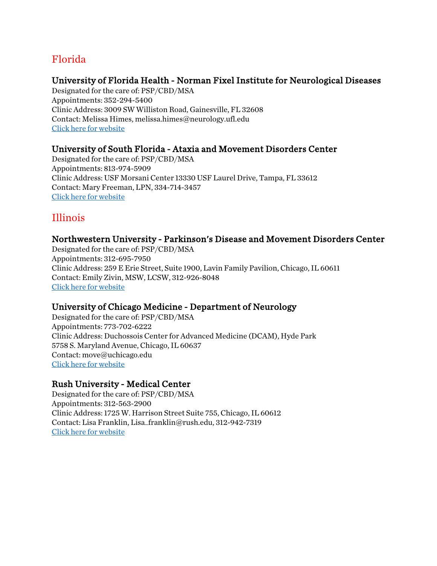# Florida

## University of Florida Health - Norman Fixel Institute for Neurological Diseases

Designated for the care of: PSP/CBD/MSA Appointments: 352-294-5400 Clinic Address: 3009 SW Williston Road, Gainesville, FL 32608 Contact: Melissa Himes, melissa.himes@neurology.ufl.edu Click here for website

## University of South Florida - Ataxia and Movement Disorders Center

Designated for the care of: PSP/CBD/MSA Appointments: 813-974-5909 Clinic Address: USF Morsani Center 13330 USF Laurel Drive, Tampa, FL 33612 Contact: Mary Freeman, LPN, 334-714-3457 Click here for website

# Illinois

## Northwestern University - Parkinson's Disease and Movement Disorders Center

Designated for the care of: PSP/CBD/MSA Appointments: 312-695-7950 Clinic Address: 259 E Erie Street, Suite 1900, Lavin Family Pavilion, Chicago, IL 60611 Contact: Emily Zivin, MSW, LCSW, 312-926-8048 Click here for website

## University of Chicago Medicine - Department of Neurology

Designated for the care of: PSP/CBD/MSA Appointments: 773-702-6222 Clinic Address: Duchossois Center for Advanced Medicine (DCAM), Hyde Park 5758 S. Maryland Avenue, Chicago, IL 60637 Contact: move@uchicago.edu Click here for website

## Rush University - Medical Center

Designated for the care of: PSP/CBD/MSA Appointments: 312-563-2900 Clinic Address: 1725 W. Harrison Street Suite 755, Chicago, IL 60612 Contact: Lisa Franklin, Lisa\_franklin@rush.edu, 312-942-7319 Click here for website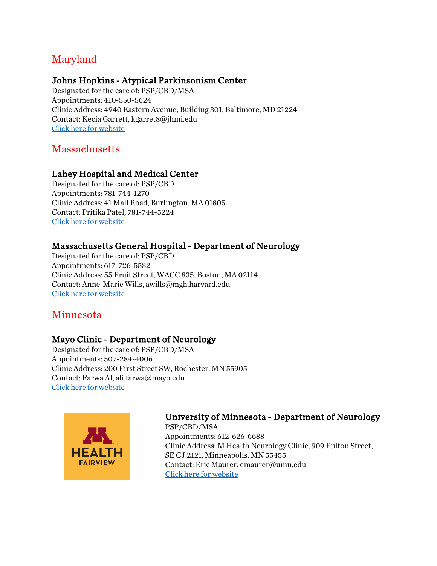# Maryland

## Johns Hopkins - Atypical Parkinsonism Center

Designated for the care of: PSP/CBD/MSA Appointments: 410-550-5624 Clinic Address: 4940 Eastern Avenue, Building 301, Baltimore, MD 21224 Contact: Kecia Garrett, kgarret8@jhmi.edu Click here for website

**Massachusetts** 

## Lahey Hospital and Medical Center

Designated for the care of: PSP/CBD Appointments: 781-744-1270 Clinic Address: 41 Mall Road, Burlington, MA 01805 Contact: Pritika Patel, 781-744-5224 Click here for website

## Massachusetts General Hospital - Department of Neurology

Designated for the care of: PSP/CBD Appointments: 617-726-5532 Clinic Address: 55 Fruit Street, WACC 835, Boston, MA 02114 Contact: Anne-Marie Wills, awills@mgh.harvard.edu Click here for website

## Minnesota

## Mayo Clinic - Department of Neurology

Designated for the care of: PSP/CBD/MSA Appointments: 507-284-4006 Clinic Address: 200 First Street SW, Rochester, MN 55905 Contact: Farwa Al, ali.farwa@mayo.edu Click here for website



## University of Minnesota - Department of Neurology

PSP/CBD/MSA Appointments: 612-626-6688 Clinic Address: M Health Neurology Clinic, 909 Fulton Street, SE CJ 2121, Minneapolis, MN 55455 Contact: Eric Maurer, emaurer@umn.edu Click here for website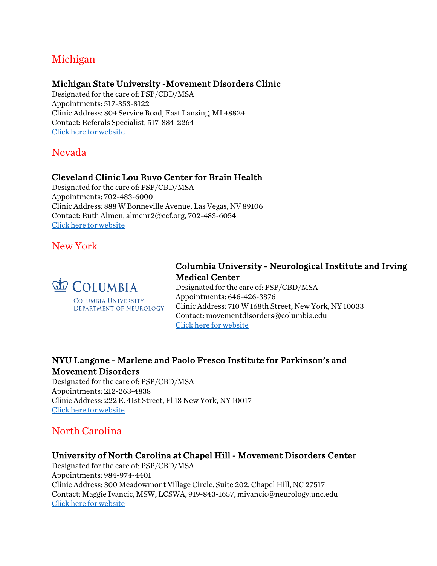## Michigan

#### Michigan State University -Movement Disorders Clinic

Designated for the care of: PSP/CBD/MSA Appointments: 517-353-8122 Clinic Address: 804 Service Road, East Lansing, MI 48824 Contact: Referals Specialist, 517-884-2264 Click here for website

## Nevada

## Cleveland Clinic Lou Ruvo Center for Brain Health

Designated for the care of: PSP/CBD/MSA Appointments: 702-483-6000 Clinic Address: 888 W Bonneville Avenue, Las Vegas, NV 89106 Contact: Ruth Almen, almenr2@ccf.org, 702-483-6054 Click here for website

## New York



DEPARTMENT OF NEUROLOGY

## Columbia University - Neurological Institute and Irving Medical Center

Designated for the care of: PSP/CBD/MSA Appointments: 646-426-3876 Clinic Address: 710 W 168th Street, New York, NY 10033 Contact: movementdisorders@columbia.edu Click here for website

## NYU Langone - Marlene and Paolo Fresco Institute for Parkinson's and Movement Disorders

Designated for the care of: PSP/CBD/MSA Appointments: 212-263-4838 Clinic Address: 222 E. 41st Street, Fl 13 New York, NY 10017 Click here for website

## North Carolina

## University of North Carolina at Chapel Hill - Movement Disorders Center

Designated for the care of: PSP/CBD/MSA Appointments: 984-974-4401 Clinic Address: 300 Meadowmont Village Circle, Suite 202, Chapel Hill, NC 27517 Contact: Maggie Ivancic, MSW, LCSWA, 919-843-1657, mivancic@neurology.unc.edu Click here for website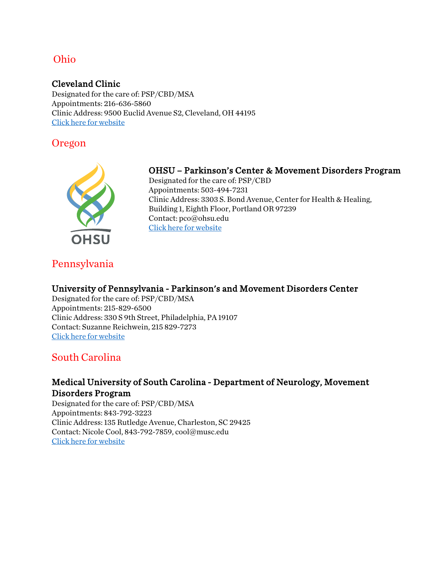## Ohio

#### Cleveland Clinic

Designated for the care of: PSP/CBD/MSA Appointments: 216-636-5860 Clinic Address: 9500 Euclid Avenue S2, Cleveland, OH 44195 Click here for website

## Oregon



## OHSU – Parkinson's Center & Movement Disorders Program

Designated for the care of: PSP/CBD Appointments: 503-494-7231 Clinic Address: 3303 S. Bond Avenue, Center for Health & Healing, Building 1, Eighth Floor, Portland OR 97239 Contact: pco@ohsu.edu Click here for website

# Pennsylvania

## University of Pennsylvania - Parkinson's and Movement Disorders Center

Designated for the care of: PSP/CBD/MSA Appointments: 215-829-6500 Clinic Address: 330 S 9th Street, Philadelphia, PA 19107 Contact: Suzanne Reichwein, 215 829-7273 Click here for website

## South Carolina

## Medical University of South Carolina - Department of Neurology, Movement Disorders Program

Designated for the care of: PSP/CBD/MSA Appointments: 843-792-3223 Clinic Address: 135 Rutledge Avenue, Charleston, SC 29425 Contact: Nicole Cool, 843-792-7859, cool@musc.edu Click here for website